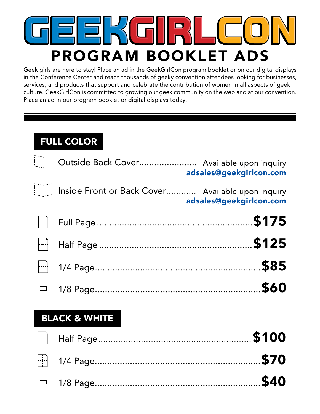## $\Box$ PROGRAM BOOKLET ADS

Geek girls are here to stay! Place an ad in the GeekGirlCon program booklet or on our digital displays in the Conference Center and reach thousands of geeky convention attendees looking for businesses, services, and products that support and celebrate the contribution of women in all aspects of geek culture. GeekGirlCon is committed to growing our geek community on the web and at our convention. Place an ad in our program booklet or digital displays today!

## FULL COLOR

| adsales@geekgirlcon.com | Outside Back Cover Available upon inquiry         |        |
|-------------------------|---------------------------------------------------|--------|
| adsales@geekgirlcon.com | Inside Front or Back Cover Available upon inquiry |        |
|                         |                                                   |        |
|                         |                                                   |        |
|                         |                                                   |        |
| \$60                    |                                                   | $\Box$ |
|                         | <b>BLACK &amp; WHITE</b>                          |        |
|                         |                                                   |        |
|                         |                                                   |        |

1/8 Page..................................................................\$40  $\overline{\phantom{0}}$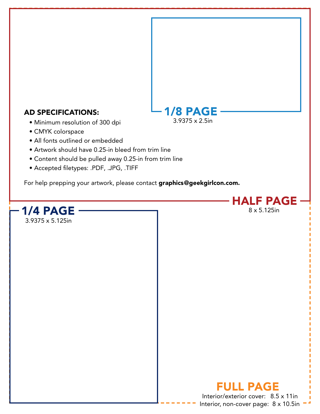## AD SPECIFICATIONS:

- Minimum resolution of 300 dpi
- CMYK colorspace
- All fonts outlined or embedded
- Artwork should have 0.25-in bleed from trim line
- Content should be pulled away 0.25-in from trim line
- Accepted filetypes: .PDF, .JPG, .TIFF

For help prepping your artwork, please contact graphics@geekgirlcon.com.



1/8 PAGE

3.9375 x 2.5in